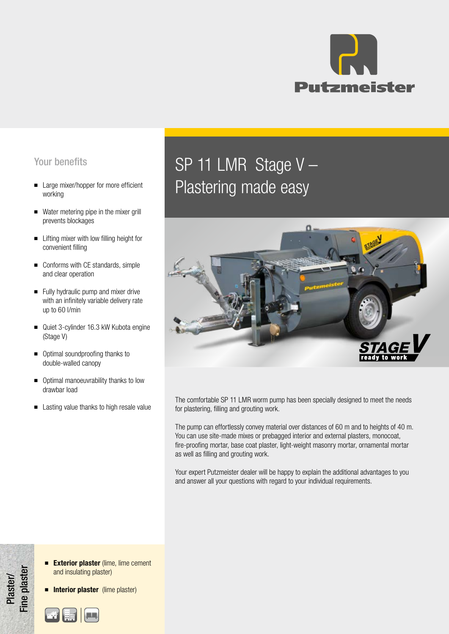

## Your benefits

- Large mixer/hopper for more efficient working
- Water metering pipe in the mixer grill prevents blockages
- Lifting mixer with low filling height for convenient filling
- Conforms with CE standards, simple and clear operation
- Fully hydraulic pump and mixer drive with an infinitely variable delivery rate up to 60 l/min
- Quiet 3-cylinder 16.3 kW Kubota engine (Stage V)
- Optimal soundproofing thanks to double-walled canopy
- Optimal manoeuvrability thanks to low drawbar load
- Lasting value thanks to high resale value

# SP 11 LMR Stage V – Plastering made easy



The comfortable SP 11 LMR worm pump has been specially designed to meet the needs for plastering, filling and grouting work.

The pump can effortlessly convey material over distances of 60 m and to heights of 40 m. You can use site-made mixes or prebagged interior and external plasters, monocoat, fire-proofing mortar, base coat plaster, light-weight masonry mortar, ornamental mortar as well as filling and grouting work.

Your expert Putzmeister dealer will be happy to explain the additional advantages to you and answer all your questions with regard to your individual requirements.

■ Exterior plaster (lime, lime cement and insulating plaster)

**■ Interior plaster** (lime plaster)



Plaster/ Fine plaster